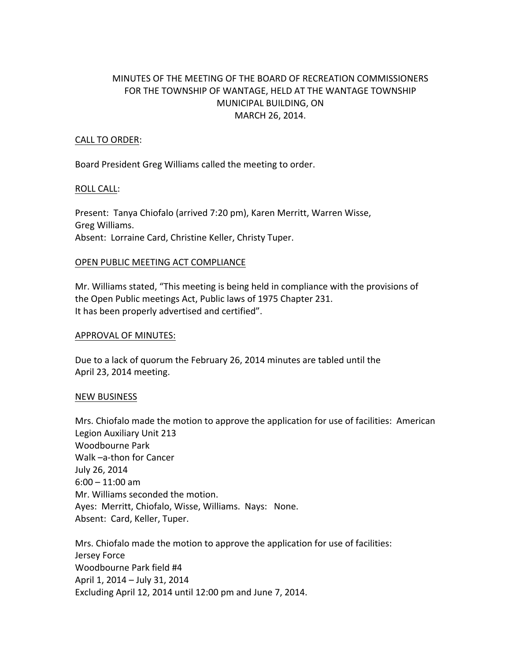# MINUTES OF THE MEETING OF THE BOARD OF RECREATION COMMISSIONERS FOR THE TOWNSHIP OF WANTAGE, HELD AT THE WANTAGE TOWNSHIP MUNICIPAL BUILDING, ON MARCH 26, 2014.

# CALL TO ORDER:

Board President Greg Williams called the meeting to order.

#### ROLL CALL:

Present: Tanya Chiofalo (arrived 7:20 pm), Karen Merritt, Warren Wisse, Greg Williams. Absent: Lorraine Card, Christine Keller, Christy Tuper.

## OPEN PUBLIC MEETING ACT COMPLIANCE

Mr. Williams stated, "This meeting is being held in compliance with the provisions of the Open Public meetings Act, Public laws of 1975 Chapter 231. It has been properly advertised and certified".

#### APPROVAL OF MINUTES:

Due to a lack of quorum the February 26, 2014 minutes are tabled until the April 23, 2014 meeting.

#### NEW BUSINESS

Mrs. Chiofalo made the motion to approve the application for use of facilities: American Legion Auxiliary Unit 213 Woodbourne Park Walk -a-thon for Cancer July 26, 2014  $6:00 - 11:00$  am Mr. Williams seconded the motion. Ayes: Merritt, Chiofalo, Wisse, Williams. Nays: None. Absent: Card, Keller, Tuper.

Mrs. Chiofalo made the motion to approve the application for use of facilities: Jersey Force Woodbourne Park field #4 April 1, 2014 - July 31, 2014 Excluding April 12, 2014 until 12:00 pm and June 7, 2014.